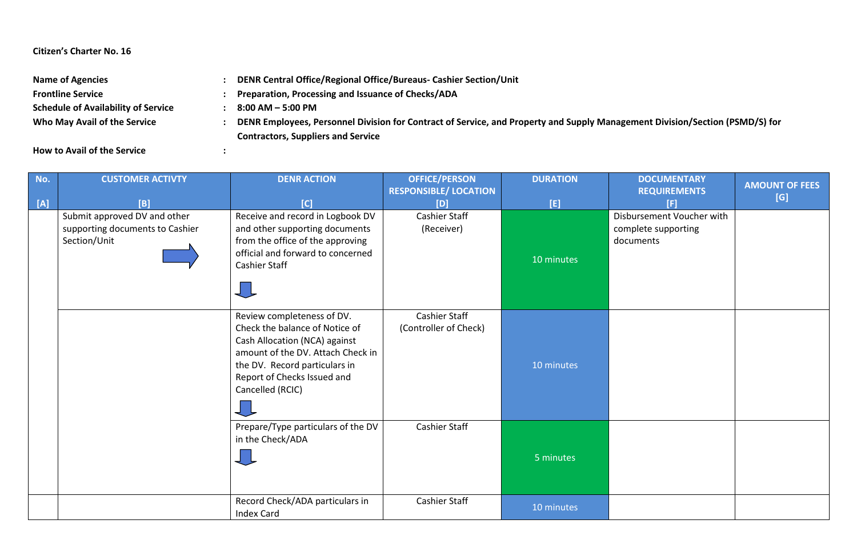## **Citizen's Charter No. 16**

| <b>Name of Agencies</b>                    | DENR Central Office/Regional Office/Bureaus- Cashier Section/Unit                                                            |  |  |
|--------------------------------------------|------------------------------------------------------------------------------------------------------------------------------|--|--|
| <b>Frontline Service</b>                   | Preparation, Processing and Issuance of Checks/ADA                                                                           |  |  |
| <b>Schedule of Availability of Service</b> | 8:00 AM – 5:00 PM                                                                                                            |  |  |
| Who May Avail of the Service               | DENR Employees, Personnel Division for Contract of Service, and Property and Supply Management Division/Section (PSMD/S) for |  |  |
|                                            | <b>Contractors, Suppliers and Service</b>                                                                                    |  |  |

**How to Avail of the Service :**

| No.<br>$[{\mathsf A}]$ | <b>CUSTOMER ACTIVTY</b><br>[B]                                                  | <b>DENR ACTION</b><br>[C]                                                                                                                                                                                              | <b>OFFICE/PERSON</b><br><b>RESPONSIBLE/ LOCATION</b><br>[D] | <b>DURATION</b><br>[E] | <b>DOCUMENTARY</b><br><b>REQUIREMENTS</b><br>[F]              | <b>AMOUNT OF FEES</b><br>[G] |
|------------------------|---------------------------------------------------------------------------------|------------------------------------------------------------------------------------------------------------------------------------------------------------------------------------------------------------------------|-------------------------------------------------------------|------------------------|---------------------------------------------------------------|------------------------------|
|                        | Submit approved DV and other<br>supporting documents to Cashier<br>Section/Unit | Receive and record in Logbook DV<br>and other supporting documents<br>from the office of the approving<br>official and forward to concerned<br>Cashier Staff<br>しし                                                     | Cashier Staff<br>(Receiver)                                 | 10 minutes             | Disbursement Voucher with<br>complete supporting<br>documents |                              |
|                        |                                                                                 | Review completeness of DV.<br>Check the balance of Notice of<br>Cash Allocation (NCA) against<br>amount of the DV. Attach Check in<br>the DV. Record particulars in<br>Report of Checks Issued and<br>Cancelled (RCIC) | Cashier Staff<br>(Controller of Check)                      | 10 minutes             |                                                               |                              |
|                        |                                                                                 | Prepare/Type particulars of the DV<br>in the Check/ADA                                                                                                                                                                 | Cashier Staff                                               | 5 minutes              |                                                               |                              |
|                        |                                                                                 | Record Check/ADA particulars in<br><b>Index Card</b>                                                                                                                                                                   | <b>Cashier Staff</b>                                        | 10 minutes             |                                                               |                              |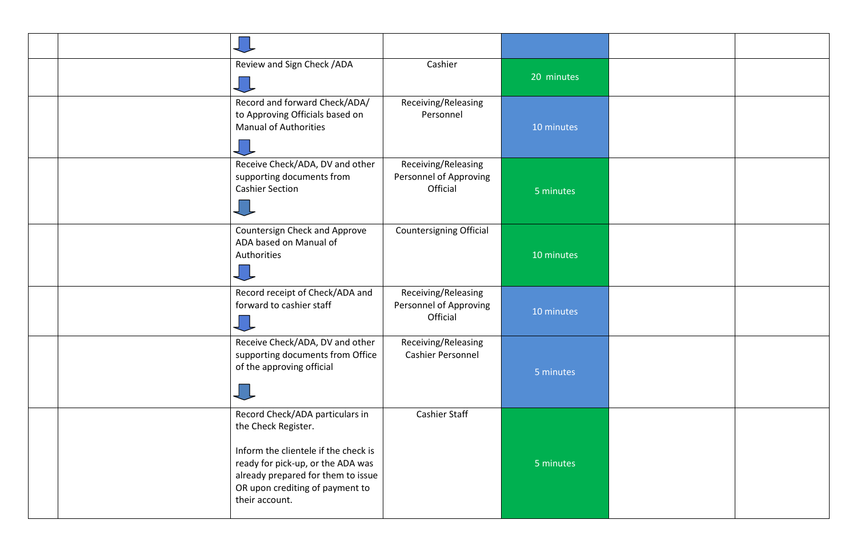|  | Review and Sign Check / ADA                                                                                                                                                                                                    | Cashier                                                   | 20 minutes |  |
|--|--------------------------------------------------------------------------------------------------------------------------------------------------------------------------------------------------------------------------------|-----------------------------------------------------------|------------|--|
|  | Record and forward Check/ADA/<br>to Approving Officials based on<br><b>Manual of Authorities</b>                                                                                                                               | Receiving/Releasing<br>Personnel                          | 10 minutes |  |
|  | Receive Check/ADA, DV and other<br>supporting documents from<br><b>Cashier Section</b>                                                                                                                                         | Receiving/Releasing<br>Personnel of Approving<br>Official | 5 minutes  |  |
|  | Countersign Check and Approve<br>ADA based on Manual of<br>Authorities                                                                                                                                                         | Countersigning Official                                   | 10 minutes |  |
|  | Record receipt of Check/ADA and<br>forward to cashier staff                                                                                                                                                                    | Receiving/Releasing<br>Personnel of Approving<br>Official | 10 minutes |  |
|  | Receive Check/ADA, DV and other<br>supporting documents from Office<br>of the approving official                                                                                                                               | Receiving/Releasing<br>Cashier Personnel                  | 5 minutes  |  |
|  | Record Check/ADA particulars in<br>the Check Register.<br>Inform the clientele if the check is<br>ready for pick-up, or the ADA was<br>already prepared for them to issue<br>OR upon crediting of payment to<br>their account. | <b>Cashier Staff</b>                                      | 5 minutes  |  |